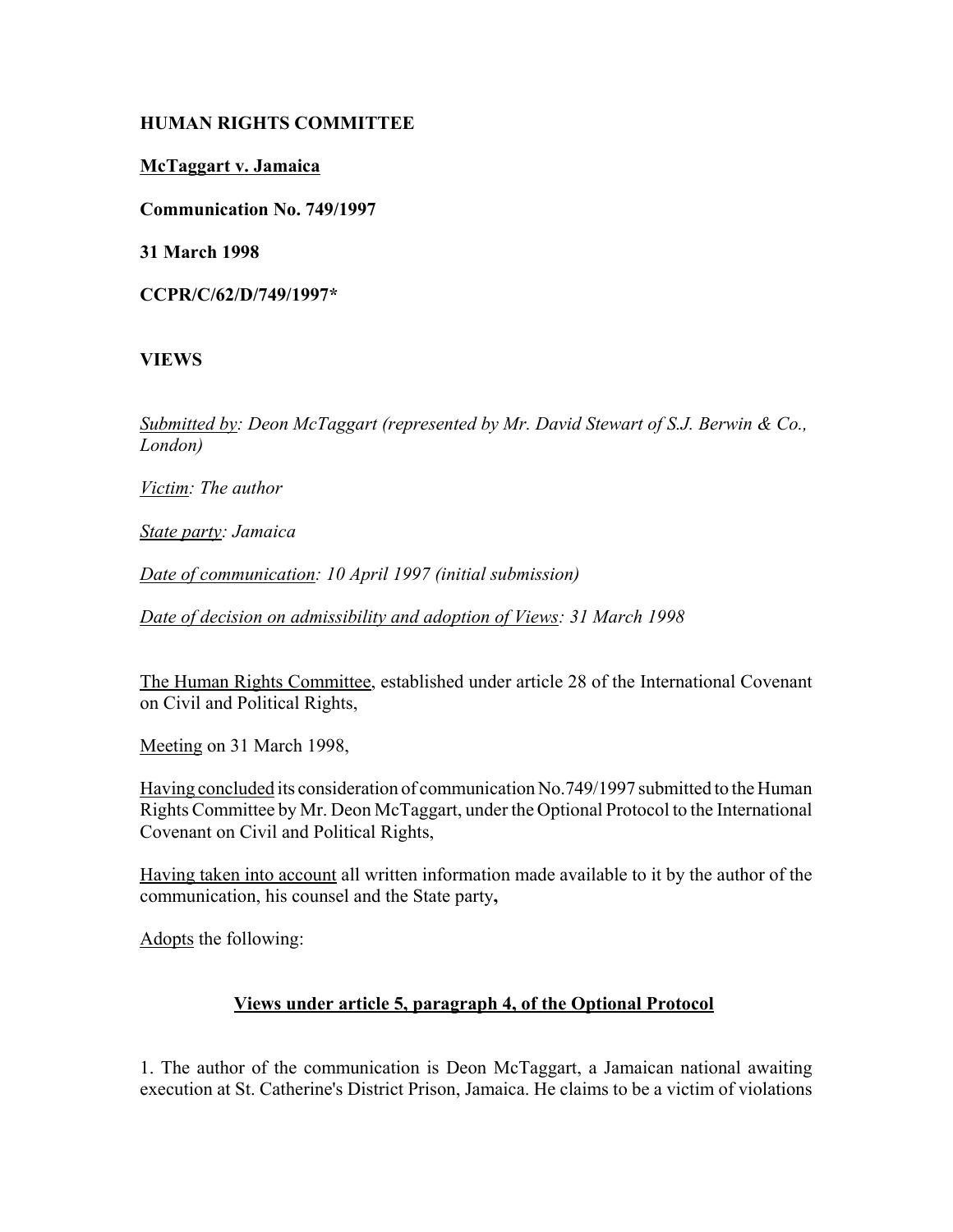# **HUMAN RIGHTS COMMITTEE**

## **McTaggart v. Jamaica**

**Communication No. 749/1997**

**31 March 1998**

**CCPR/C/62/D/749/1997\***

# **VIEWS**

*Submitted by: Deon McTaggart (represented by Mr. David Stewart of S.J. Berwin & Co., London)* 

*Victim: The author* 

*State party: Jamaica* 

*Date of communication: 10 April 1997 (initial submission)* 

*Date of decision on admissibility and adoption of Views: 31 March 1998* 

The Human Rights Committee, established under article 28 of the International Covenant on Civil and Political Rights,

Meeting on 31 March 1998,

Having concluded its consideration of communication No.749/1997 submitted to the Human Rights Committee by Mr. Deon McTaggart, under the Optional Protocol to the International Covenant on Civil and Political Rights,

Having taken into account all written information made available to it by the author of the communication, his counsel and the State party**,** 

Adopts the following:

# **Views under article 5, paragraph 4, of the Optional Protocol**

1. The author of the communication is Deon McTaggart, a Jamaican national awaiting execution at St. Catherine's District Prison, Jamaica. He claims to be a victim of violations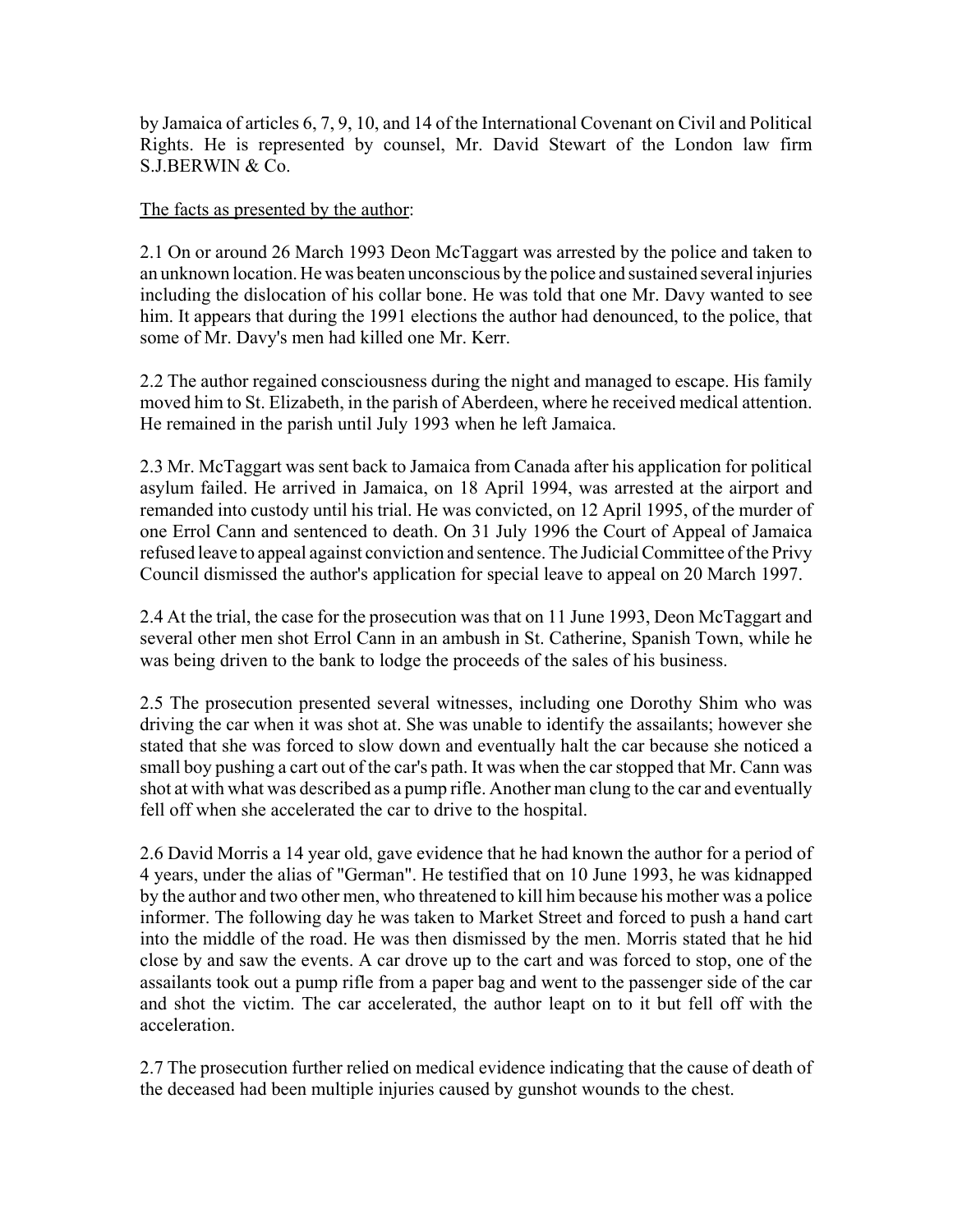by Jamaica of articles 6, 7, 9, 10, and 14 of the International Covenant on Civil and Political Rights. He is represented by counsel, Mr. David Stewart of the London law firm S.J.BERWIN & Co.

### The facts as presented by the author:

2.1 On or around 26 March 1993 Deon McTaggart was arrested by the police and taken to an unknown location. He was beaten unconscious by the police and sustained several injuries including the dislocation of his collar bone. He was told that one Mr. Davy wanted to see him. It appears that during the 1991 elections the author had denounced, to the police, that some of Mr. Davy's men had killed one Mr. Kerr.

2.2 The author regained consciousness during the night and managed to escape. His family moved him to St. Elizabeth, in the parish of Aberdeen, where he received medical attention. He remained in the parish until July 1993 when he left Jamaica.

2.3 Mr. McTaggart was sent back to Jamaica from Canada after his application for political asylum failed. He arrived in Jamaica, on 18 April 1994, was arrested at the airport and remanded into custody until his trial. He was convicted, on 12 April 1995, of the murder of one Errol Cann and sentenced to death. On 31 July 1996 the Court of Appeal of Jamaica refused leave to appeal against conviction and sentence. The Judicial Committee of the Privy Council dismissed the author's application for special leave to appeal on 20 March 1997.

2.4 At the trial, the case for the prosecution was that on 11 June 1993, Deon McTaggart and several other men shot Errol Cann in an ambush in St. Catherine, Spanish Town, while he was being driven to the bank to lodge the proceeds of the sales of his business.

2.5 The prosecution presented several witnesses, including one Dorothy Shim who was driving the car when it was shot at. She was unable to identify the assailants; however she stated that she was forced to slow down and eventually halt the car because she noticed a small boy pushing a cart out of the car's path. It was when the car stopped that Mr. Cann was shot at with what was described as a pump rifle. Another man clung to the car and eventually fell off when she accelerated the car to drive to the hospital.

2.6 David Morris a 14 year old, gave evidence that he had known the author for a period of 4 years, under the alias of "German". He testified that on 10 June 1993, he was kidnapped by the author and two other men, who threatened to kill him because his mother was a police informer. The following day he was taken to Market Street and forced to push a hand cart into the middle of the road. He was then dismissed by the men. Morris stated that he hid close by and saw the events. A car drove up to the cart and was forced to stop, one of the assailants took out a pump rifle from a paper bag and went to the passenger side of the car and shot the victim. The car accelerated, the author leapt on to it but fell off with the acceleration.

2.7 The prosecution further relied on medical evidence indicating that the cause of death of the deceased had been multiple injuries caused by gunshot wounds to the chest.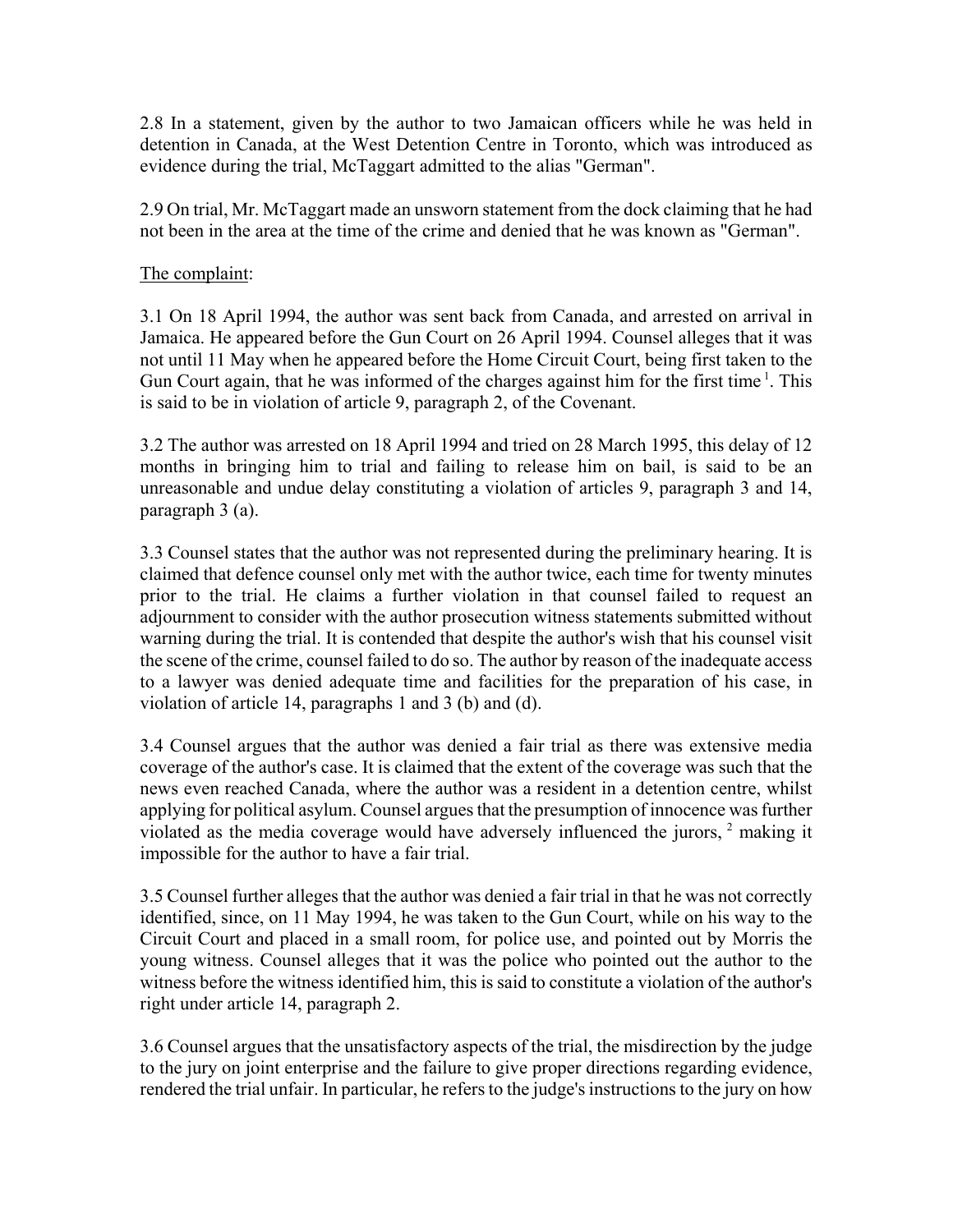2.8 In a statement, given by the author to two Jamaican officers while he was held in detention in Canada, at the West Detention Centre in Toronto, which was introduced as evidence during the trial, McTaggart admitted to the alias "German".

2.9 On trial, Mr. McTaggart made an unsworn statement from the dock claiming that he had not been in the area at the time of the crime and denied that he was known as "German".

### The complaint:

3.1 On 18 April 1994, the author was sent back from Canada, and arrested on arrival in Jamaica. He appeared before the Gun Court on 26 April 1994. Counsel alleges that it was not until 11 May when he appeared before the Home Circuit Court, being first taken to the Gun Court again, that he was informed of the charges against him for the first time  $\frac{1}{1}$ . This is said to be in violation of article 9, paragraph 2, of the Covenant.

3.2 The author was arrested on 18 April 1994 and tried on 28 March 1995, this delay of 12 months in bringing him to trial and failing to release him on bail, is said to be an unreasonable and undue delay constituting a violation of articles 9, paragraph 3 and 14, paragraph 3 (a).

3.3 Counsel states that the author was not represented during the preliminary hearing. It is claimed that defence counsel only met with the author twice, each time for twenty minutes prior to the trial. He claims a further violation in that counsel failed to request an adjournment to consider with the author prosecution witness statements submitted without warning during the trial. It is contended that despite the author's wish that his counsel visit the scene of the crime, counsel failed to do so. The author by reason of the inadequate access to a lawyer was denied adequate time and facilities for the preparation of his case, in violation of article 14, paragraphs 1 and 3 (b) and (d).

3.4 Counsel argues that the author was denied a fair trial as there was extensive media coverage of the author's case. It is claimed that the extent of the coverage was such that the news even reached Canada, where the author was a resident in a detention centre, whilst applying for political asylum. Counsel argues that the presumption of innocence was further violated as the media coverage would have adversely influenced the jurors, 2 making it impossible for the author to have a fair trial.

3.5 Counsel further alleges that the author was denied a fair trial in that he was not correctly identified, since, on 11 May 1994, he was taken to the Gun Court, while on his way to the Circuit Court and placed in a small room, for police use, and pointed out by Morris the young witness. Counsel alleges that it was the police who pointed out the author to the witness before the witness identified him, this is said to constitute a violation of the author's right under article 14, paragraph 2.

3.6 Counsel argues that the unsatisfactory aspects of the trial, the misdirection by the judge to the jury on joint enterprise and the failure to give proper directions regarding evidence, rendered the trial unfair. In particular, he refers to the judge's instructions to the jury on how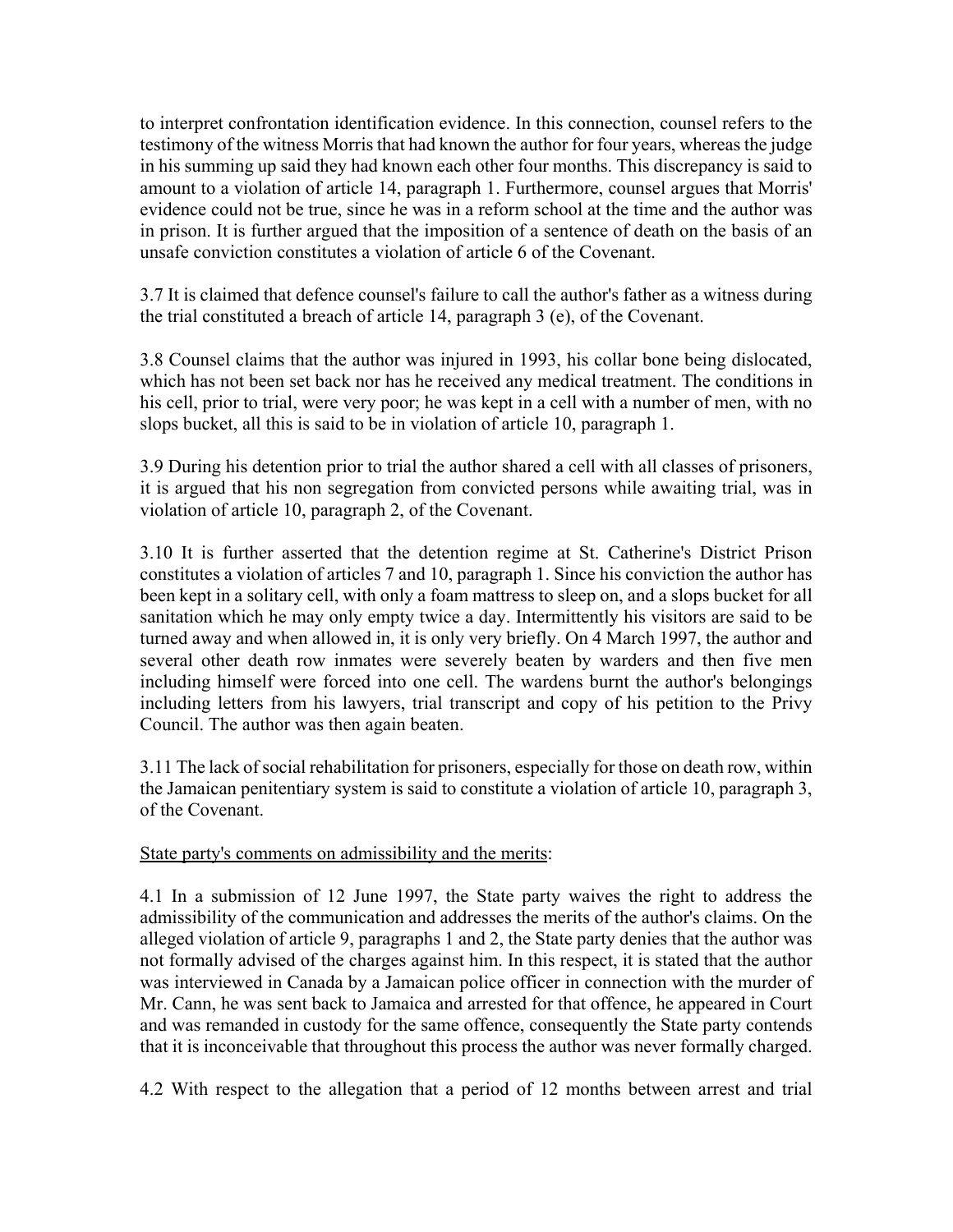to interpret confrontation identification evidence. In this connection, counsel refers to the testimony of the witness Morris that had known the author for four years, whereas the judge in his summing up said they had known each other four months. This discrepancy is said to amount to a violation of article 14, paragraph 1. Furthermore, counsel argues that Morris' evidence could not be true, since he was in a reform school at the time and the author was in prison. It is further argued that the imposition of a sentence of death on the basis of an unsafe conviction constitutes a violation of article 6 of the Covenant.

3.7 It is claimed that defence counsel's failure to call the author's father as a witness during the trial constituted a breach of article 14, paragraph 3 (e), of the Covenant.

3.8 Counsel claims that the author was injured in 1993, his collar bone being dislocated, which has not been set back nor has he received any medical treatment. The conditions in his cell, prior to trial, were very poor; he was kept in a cell with a number of men, with no slops bucket, all this is said to be in violation of article 10, paragraph 1.

3.9 During his detention prior to trial the author shared a cell with all classes of prisoners, it is argued that his non segregation from convicted persons while awaiting trial, was in violation of article 10, paragraph 2, of the Covenant.

3.10 It is further asserted that the detention regime at St. Catherine's District Prison constitutes a violation of articles 7 and 10, paragraph 1. Since his conviction the author has been kept in a solitary cell, with only a foam mattress to sleep on, and a slops bucket for all sanitation which he may only empty twice a day. Intermittently his visitors are said to be turned away and when allowed in, it is only very briefly. On 4 March 1997, the author and several other death row inmates were severely beaten by warders and then five men including himself were forced into one cell. The wardens burnt the author's belongings including letters from his lawyers, trial transcript and copy of his petition to the Privy Council. The author was then again beaten.

3.11 The lack of social rehabilitation for prisoners, especially for those on death row, within the Jamaican penitentiary system is said to constitute a violation of article 10, paragraph 3, of the Covenant.

### State party's comments on admissibility and the merits:

4.1 In a submission of 12 June 1997, the State party waives the right to address the admissibility of the communication and addresses the merits of the author's claims. On the alleged violation of article 9, paragraphs 1 and 2, the State party denies that the author was not formally advised of the charges against him. In this respect, it is stated that the author was interviewed in Canada by a Jamaican police officer in connection with the murder of Mr. Cann, he was sent back to Jamaica and arrested for that offence, he appeared in Court and was remanded in custody for the same offence, consequently the State party contends that it is inconceivable that throughout this process the author was never formally charged.

4.2 With respect to the allegation that a period of 12 months between arrest and trial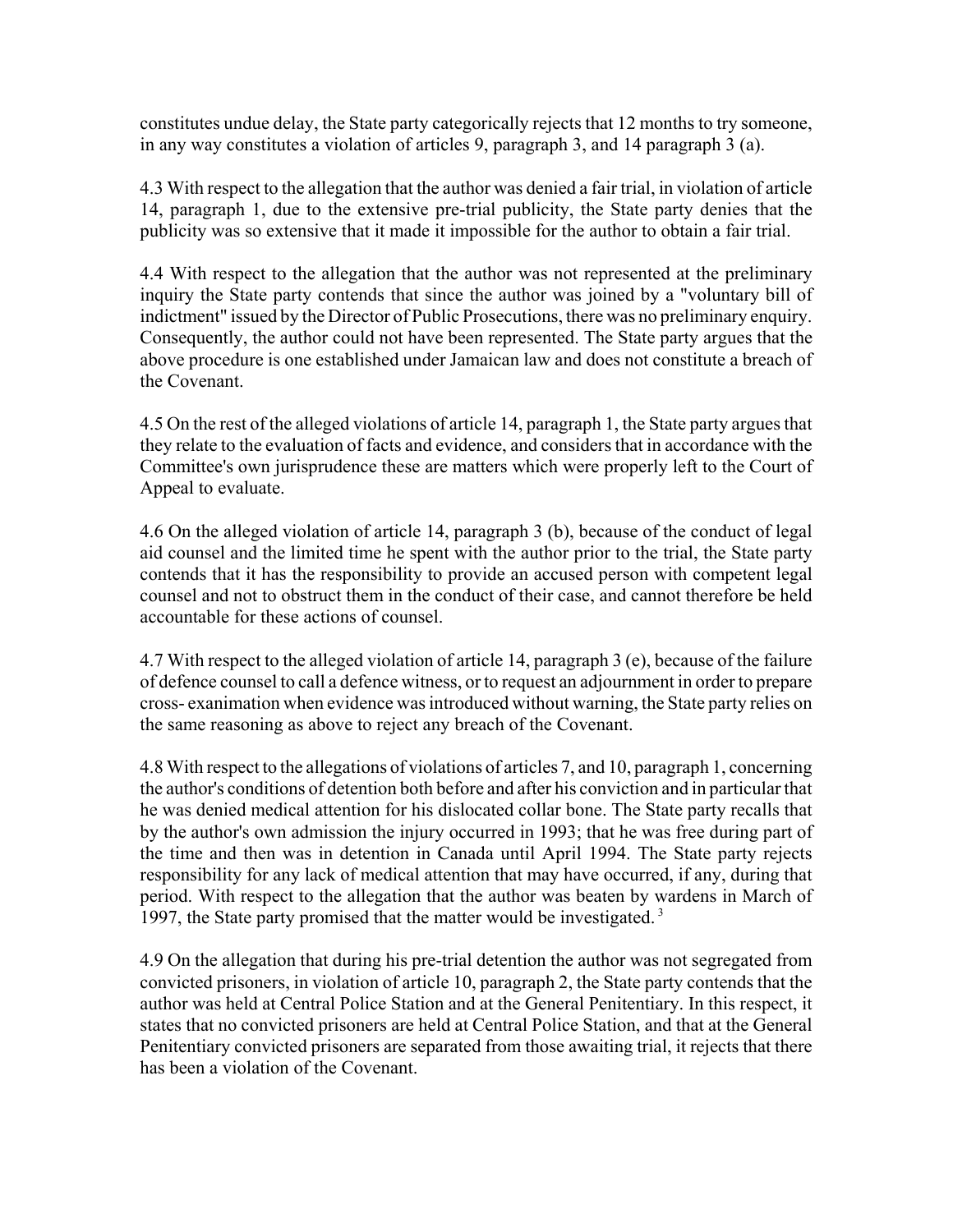constitutes undue delay, the State party categorically rejects that 12 months to try someone, in any way constitutes a violation of articles 9, paragraph 3, and 14 paragraph 3 (a).

4.3 With respect to the allegation that the author was denied a fair trial, in violation of article 14, paragraph 1, due to the extensive pre-trial publicity, the State party denies that the publicity was so extensive that it made it impossible for the author to obtain a fair trial.

4.4 With respect to the allegation that the author was not represented at the preliminary inquiry the State party contends that since the author was joined by a "voluntary bill of indictment" issued by the Director of Public Prosecutions, there was no preliminary enquiry. Consequently, the author could not have been represented. The State party argues that the above procedure is one established under Jamaican law and does not constitute a breach of the Covenant.

4.5 On the rest of the alleged violations of article 14, paragraph 1, the State party argues that they relate to the evaluation of facts and evidence, and considers that in accordance with the Committee's own jurisprudence these are matters which were properly left to the Court of Appeal to evaluate.

4.6 On the alleged violation of article 14, paragraph 3 (b), because of the conduct of legal aid counsel and the limited time he spent with the author prior to the trial, the State party contends that it has the responsibility to provide an accused person with competent legal counsel and not to obstruct them in the conduct of their case, and cannot therefore be held accountable for these actions of counsel.

4.7 With respect to the alleged violation of article 14, paragraph 3 (e), because of the failure of defence counsel to call a defence witness, or to request an adjournment in order to prepare cross- exanimation when evidence was introduced without warning, the State party relies on the same reasoning as above to reject any breach of the Covenant.

4.8 With respect to the allegations of violations of articles 7, and 10, paragraph 1, concerning the author's conditions of detention both before and after his conviction and in particular that he was denied medical attention for his dislocated collar bone. The State party recalls that by the author's own admission the injury occurred in 1993; that he was free during part of the time and then was in detention in Canada until April 1994. The State party rejects responsibility for any lack of medical attention that may have occurred, if any, during that period. With respect to the allegation that the author was beaten by wardens in March of 1997, the State party promised that the matter would be investigated. 3

4.9 On the allegation that during his pre-trial detention the author was not segregated from convicted prisoners, in violation of article 10, paragraph 2, the State party contends that the author was held at Central Police Station and at the General Penitentiary. In this respect, it states that no convicted prisoners are held at Central Police Station, and that at the General Penitentiary convicted prisoners are separated from those awaiting trial, it rejects that there has been a violation of the Covenant.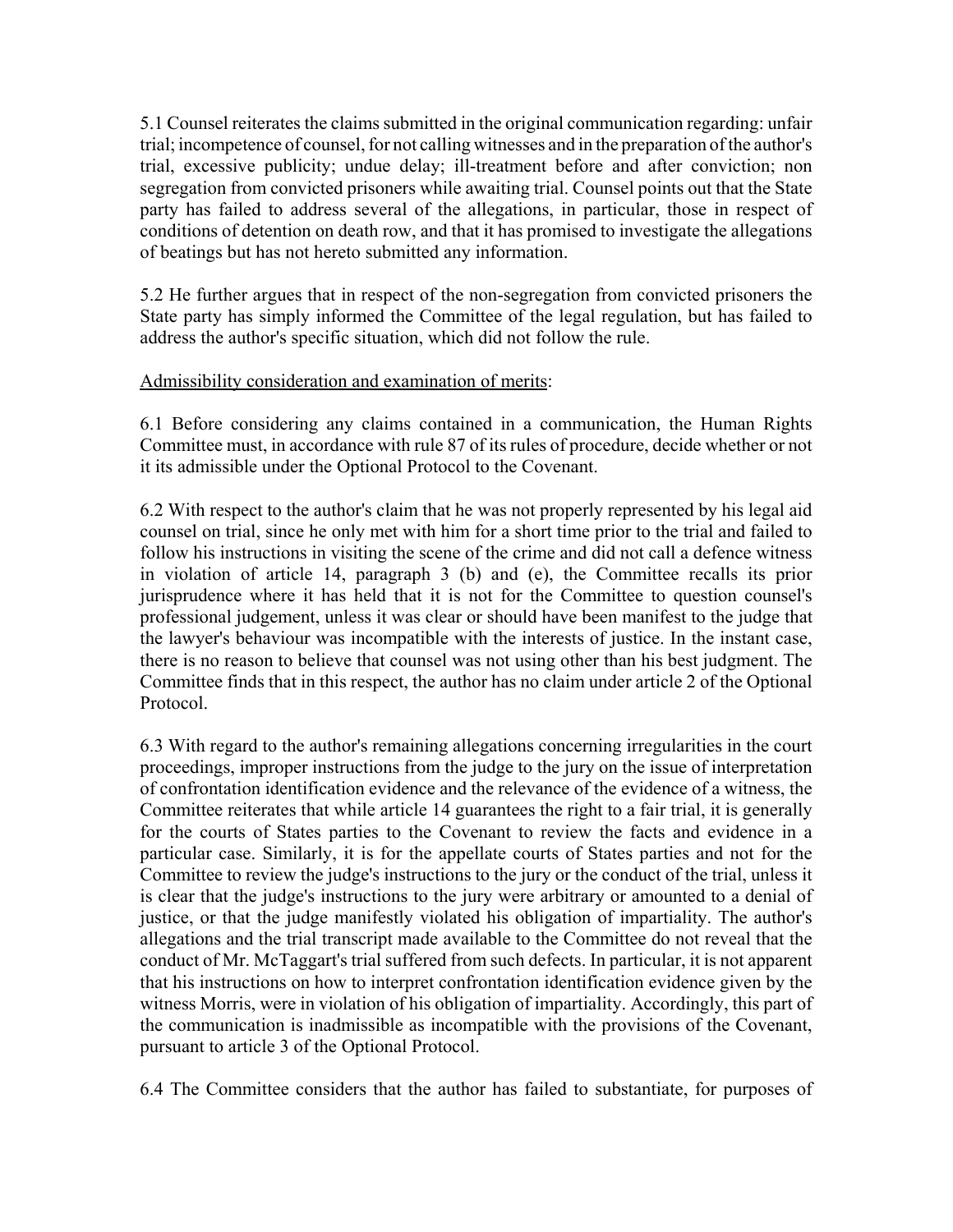5.1 Counsel reiterates the claims submitted in the original communication regarding: unfair trial; incompetence of counsel, for not calling witnesses and in the preparation of the author's trial, excessive publicity; undue delay; ill-treatment before and after conviction; non segregation from convicted prisoners while awaiting trial. Counsel points out that the State party has failed to address several of the allegations, in particular, those in respect of conditions of detention on death row, and that it has promised to investigate the allegations of beatings but has not hereto submitted any information.

5.2 He further argues that in respect of the non-segregation from convicted prisoners the State party has simply informed the Committee of the legal regulation, but has failed to address the author's specific situation, which did not follow the rule.

### Admissibility consideration and examination of merits:

6.1 Before considering any claims contained in a communication, the Human Rights Committee must, in accordance with rule 87 of its rules of procedure, decide whether or not it its admissible under the Optional Protocol to the Covenant.

6.2 With respect to the author's claim that he was not properly represented by his legal aid counsel on trial, since he only met with him for a short time prior to the trial and failed to follow his instructions in visiting the scene of the crime and did not call a defence witness in violation of article 14, paragraph 3 (b) and (e), the Committee recalls its prior jurisprudence where it has held that it is not for the Committee to question counsel's professional judgement, unless it was clear or should have been manifest to the judge that the lawyer's behaviour was incompatible with the interests of justice. In the instant case, there is no reason to believe that counsel was not using other than his best judgment. The Committee finds that in this respect, the author has no claim under article 2 of the Optional Protocol.

6.3 With regard to the author's remaining allegations concerning irregularities in the court proceedings, improper instructions from the judge to the jury on the issue of interpretation of confrontation identification evidence and the relevance of the evidence of a witness, the Committee reiterates that while article 14 guarantees the right to a fair trial, it is generally for the courts of States parties to the Covenant to review the facts and evidence in a particular case. Similarly, it is for the appellate courts of States parties and not for the Committee to review the judge's instructions to the jury or the conduct of the trial, unless it is clear that the judge's instructions to the jury were arbitrary or amounted to a denial of justice, or that the judge manifestly violated his obligation of impartiality. The author's allegations and the trial transcript made available to the Committee do not reveal that the conduct of Mr. McTaggart's trial suffered from such defects. In particular, it is not apparent that his instructions on how to interpret confrontation identification evidence given by the witness Morris, were in violation of his obligation of impartiality. Accordingly, this part of the communication is inadmissible as incompatible with the provisions of the Covenant, pursuant to article 3 of the Optional Protocol.

6.4 The Committee considers that the author has failed to substantiate, for purposes of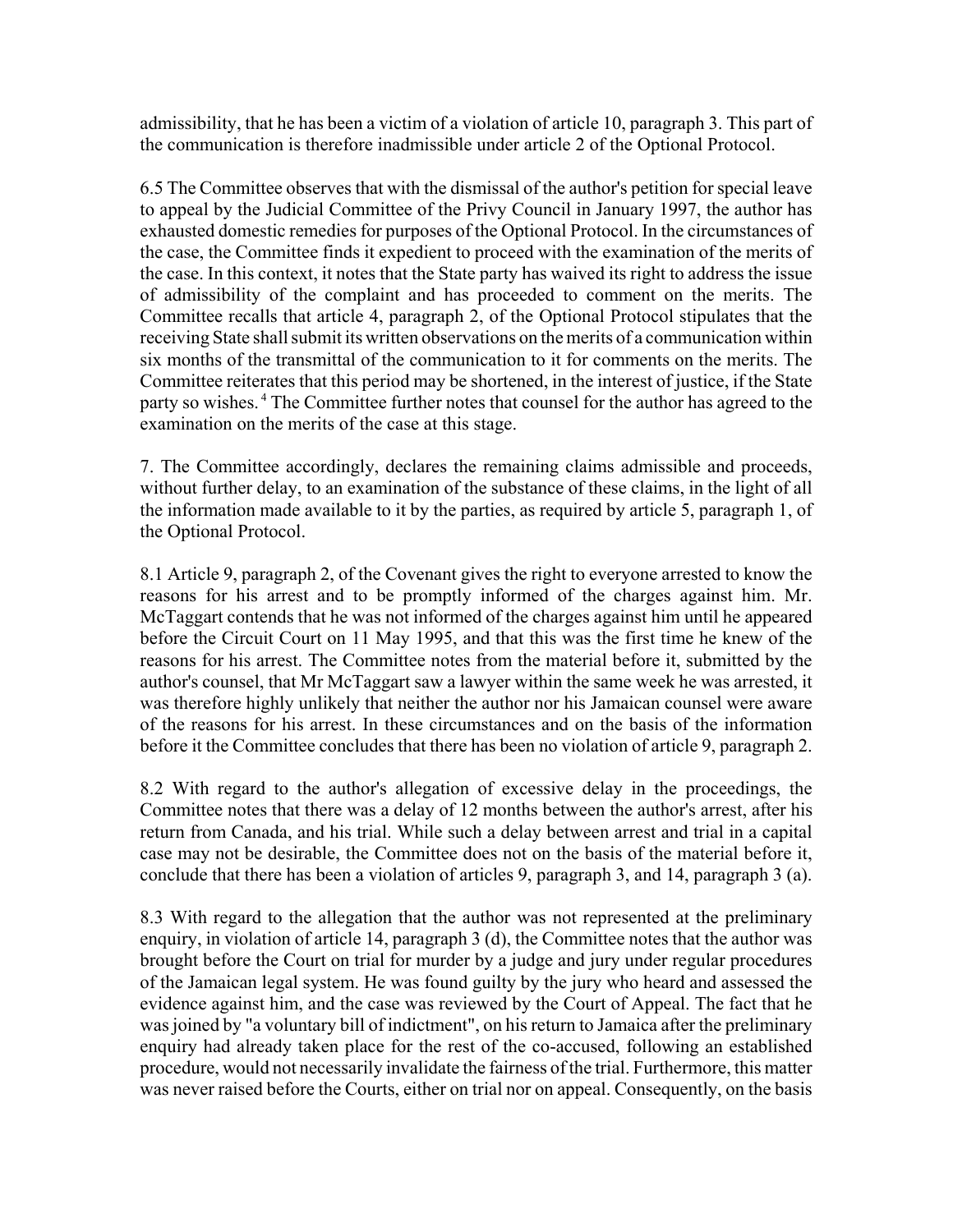admissibility, that he has been a victim of a violation of article 10, paragraph 3. This part of the communication is therefore inadmissible under article 2 of the Optional Protocol.

6.5 The Committee observes that with the dismissal of the author's petition for special leave to appeal by the Judicial Committee of the Privy Council in January 1997, the author has exhausted domestic remedies for purposes of the Optional Protocol. In the circumstances of the case, the Committee finds it expedient to proceed with the examination of the merits of the case. In this context, it notes that the State party has waived its right to address the issue of admissibility of the complaint and has proceeded to comment on the merits. The Committee recalls that article 4, paragraph 2, of the Optional Protocol stipulates that the receiving State shall submit its written observations on the merits of a communication within six months of the transmittal of the communication to it for comments on the merits. The Committee reiterates that this period may be shortened, in the interest of justice, if the State party so wishes. 4 The Committee further notes that counsel for the author has agreed to the examination on the merits of the case at this stage.

7. The Committee accordingly, declares the remaining claims admissible and proceeds, without further delay, to an examination of the substance of these claims, in the light of all the information made available to it by the parties, as required by article 5, paragraph 1, of the Optional Protocol.

8.1 Article 9, paragraph 2, of the Covenant gives the right to everyone arrested to know the reasons for his arrest and to be promptly informed of the charges against him. Mr. McTaggart contends that he was not informed of the charges against him until he appeared before the Circuit Court on 11 May 1995, and that this was the first time he knew of the reasons for his arrest. The Committee notes from the material before it, submitted by the author's counsel, that Mr McTaggart saw a lawyer within the same week he was arrested, it was therefore highly unlikely that neither the author nor his Jamaican counsel were aware of the reasons for his arrest. In these circumstances and on the basis of the information before it the Committee concludes that there has been no violation of article 9, paragraph 2.

8.2 With regard to the author's allegation of excessive delay in the proceedings, the Committee notes that there was a delay of 12 months between the author's arrest, after his return from Canada, and his trial. While such a delay between arrest and trial in a capital case may not be desirable, the Committee does not on the basis of the material before it, conclude that there has been a violation of articles 9, paragraph 3, and 14, paragraph 3 (a).

8.3 With regard to the allegation that the author was not represented at the preliminary enquiry, in violation of article 14, paragraph 3 (d), the Committee notes that the author was brought before the Court on trial for murder by a judge and jury under regular procedures of the Jamaican legal system. He was found guilty by the jury who heard and assessed the evidence against him, and the case was reviewed by the Court of Appeal. The fact that he was joined by "a voluntary bill of indictment", on his return to Jamaica after the preliminary enquiry had already taken place for the rest of the co-accused, following an established procedure, would not necessarily invalidate the fairness of the trial. Furthermore, this matter was never raised before the Courts, either on trial nor on appeal. Consequently, on the basis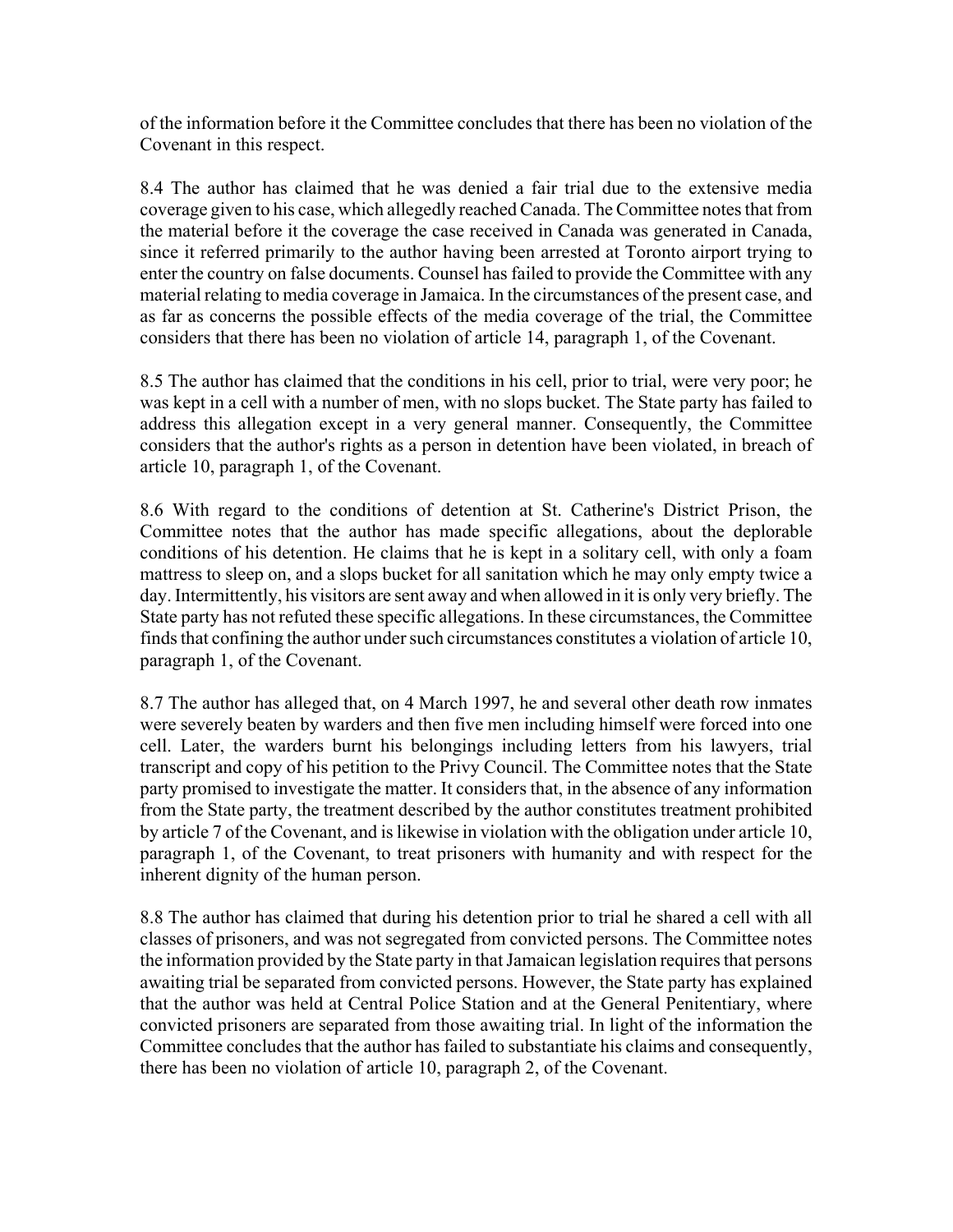of the information before it the Committee concludes that there has been no violation of the Covenant in this respect.

8.4 The author has claimed that he was denied a fair trial due to the extensive media coverage given to his case, which allegedly reached Canada. The Committee notes that from the material before it the coverage the case received in Canada was generated in Canada, since it referred primarily to the author having been arrested at Toronto airport trying to enter the country on false documents. Counsel has failed to provide the Committee with any material relating to media coverage in Jamaica. In the circumstances of the present case, and as far as concerns the possible effects of the media coverage of the trial, the Committee considers that there has been no violation of article 14, paragraph 1, of the Covenant.

8.5 The author has claimed that the conditions in his cell, prior to trial, were very poor; he was kept in a cell with a number of men, with no slops bucket. The State party has failed to address this allegation except in a very general manner. Consequently, the Committee considers that the author's rights as a person in detention have been violated, in breach of article 10, paragraph 1, of the Covenant.

8.6 With regard to the conditions of detention at St. Catherine's District Prison, the Committee notes that the author has made specific allegations, about the deplorable conditions of his detention. He claims that he is kept in a solitary cell, with only a foam mattress to sleep on, and a slops bucket for all sanitation which he may only empty twice a day. Intermittently, his visitors are sent away and when allowed in it is only very briefly. The State party has not refuted these specific allegations. In these circumstances, the Committee finds that confining the author under such circumstances constitutes a violation of article 10, paragraph 1, of the Covenant.

8.7 The author has alleged that, on 4 March 1997, he and several other death row inmates were severely beaten by warders and then five men including himself were forced into one cell. Later, the warders burnt his belongings including letters from his lawyers, trial transcript and copy of his petition to the Privy Council. The Committee notes that the State party promised to investigate the matter. It considers that, in the absence of any information from the State party, the treatment described by the author constitutes treatment prohibited by article 7 of the Covenant, and is likewise in violation with the obligation under article 10, paragraph 1, of the Covenant, to treat prisoners with humanity and with respect for the inherent dignity of the human person.

8.8 The author has claimed that during his detention prior to trial he shared a cell with all classes of prisoners, and was not segregated from convicted persons. The Committee notes the information provided by the State party in that Jamaican legislation requires that persons awaiting trial be separated from convicted persons. However, the State party has explained that the author was held at Central Police Station and at the General Penitentiary, where convicted prisoners are separated from those awaiting trial. In light of the information the Committee concludes that the author has failed to substantiate his claims and consequently, there has been no violation of article 10, paragraph 2, of the Covenant.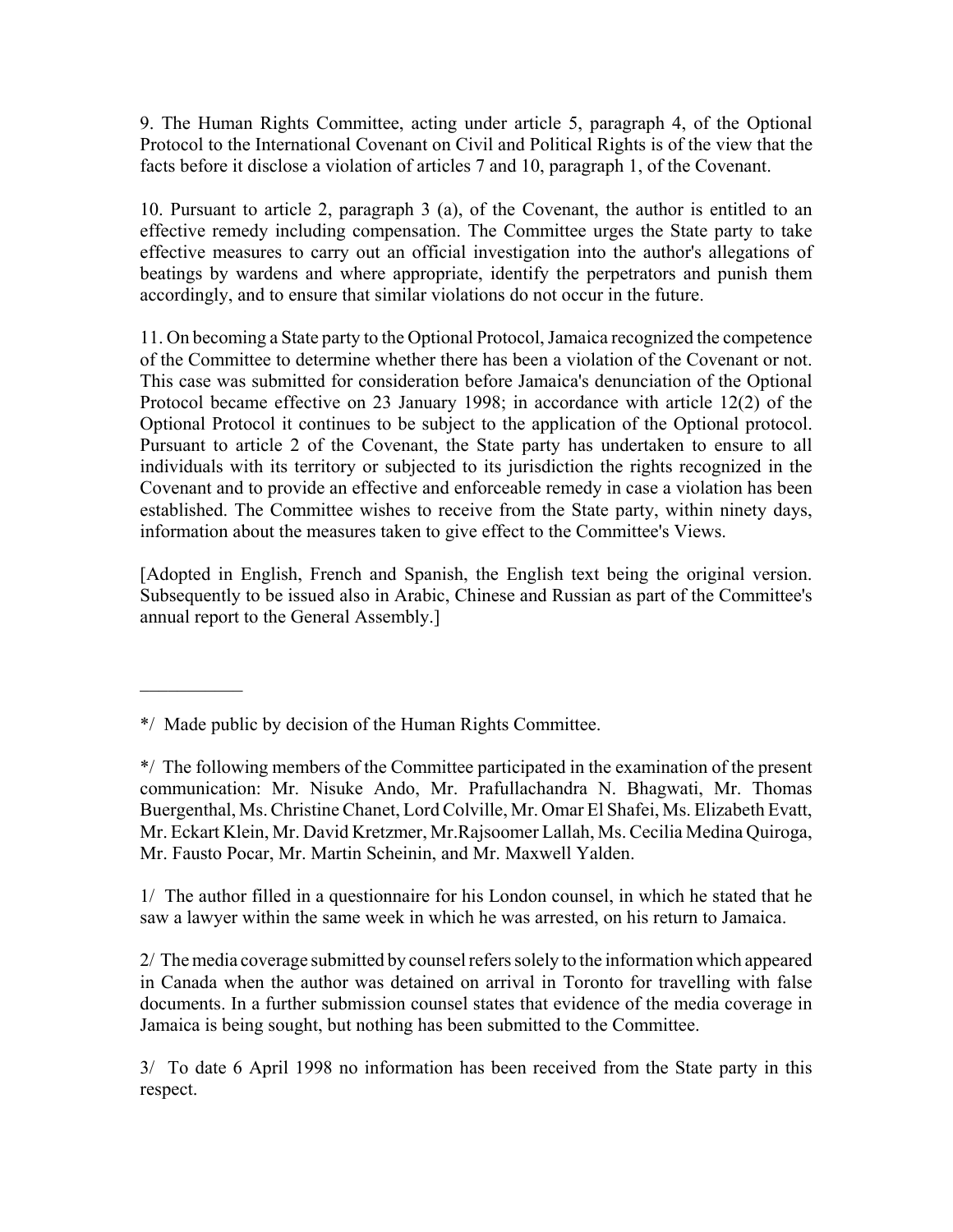9. The Human Rights Committee, acting under article 5, paragraph 4, of the Optional Protocol to the International Covenant on Civil and Political Rights is of the view that the facts before it disclose a violation of articles 7 and 10, paragraph 1, of the Covenant.

10. Pursuant to article 2, paragraph 3 (a), of the Covenant, the author is entitled to an effective remedy including compensation. The Committee urges the State party to take effective measures to carry out an official investigation into the author's allegations of beatings by wardens and where appropriate, identify the perpetrators and punish them accordingly, and to ensure that similar violations do not occur in the future.

11. On becoming a State party to the Optional Protocol, Jamaica recognized the competence of the Committee to determine whether there has been a violation of the Covenant or not. This case was submitted for consideration before Jamaica's denunciation of the Optional Protocol became effective on 23 January 1998; in accordance with article 12(2) of the Optional Protocol it continues to be subject to the application of the Optional protocol. Pursuant to article 2 of the Covenant, the State party has undertaken to ensure to all individuals with its territory or subjected to its jurisdiction the rights recognized in the Covenant and to provide an effective and enforceable remedy in case a violation has been established. The Committee wishes to receive from the State party, within ninety days, information about the measures taken to give effect to the Committee's Views.

[Adopted in English, French and Spanish, the English text being the original version. Subsequently to be issued also in Arabic, Chinese and Russian as part of the Committee's annual report to the General Assembly.]

 $\mathcal{L}_\text{max}$ 

1/ The author filled in a questionnaire for his London counsel, in which he stated that he saw a lawyer within the same week in which he was arrested, on his return to Jamaica.

2/ The media coverage submitted by counsel refers solely to the information which appeared in Canada when the author was detained on arrival in Toronto for travelling with false documents. In a further submission counsel states that evidence of the media coverage in Jamaica is being sought, but nothing has been submitted to the Committee.

3/ To date 6 April 1998 no information has been received from the State party in this respect.

<sup>\*/</sup> Made public by decision of the Human Rights Committee.

<sup>\*/</sup> The following members of the Committee participated in the examination of the present communication: Mr. Nisuke Ando, Mr. Prafullachandra N. Bhagwati, Mr. Thomas Buergenthal, Ms. Christine Chanet, Lord Colville, Mr. Omar El Shafei, Ms. Elizabeth Evatt, Mr. Eckart Klein, Mr. David Kretzmer, Mr.Rajsoomer Lallah, Ms. Cecilia Medina Quiroga, Mr. Fausto Pocar, Mr. Martin Scheinin, and Mr. Maxwell Yalden.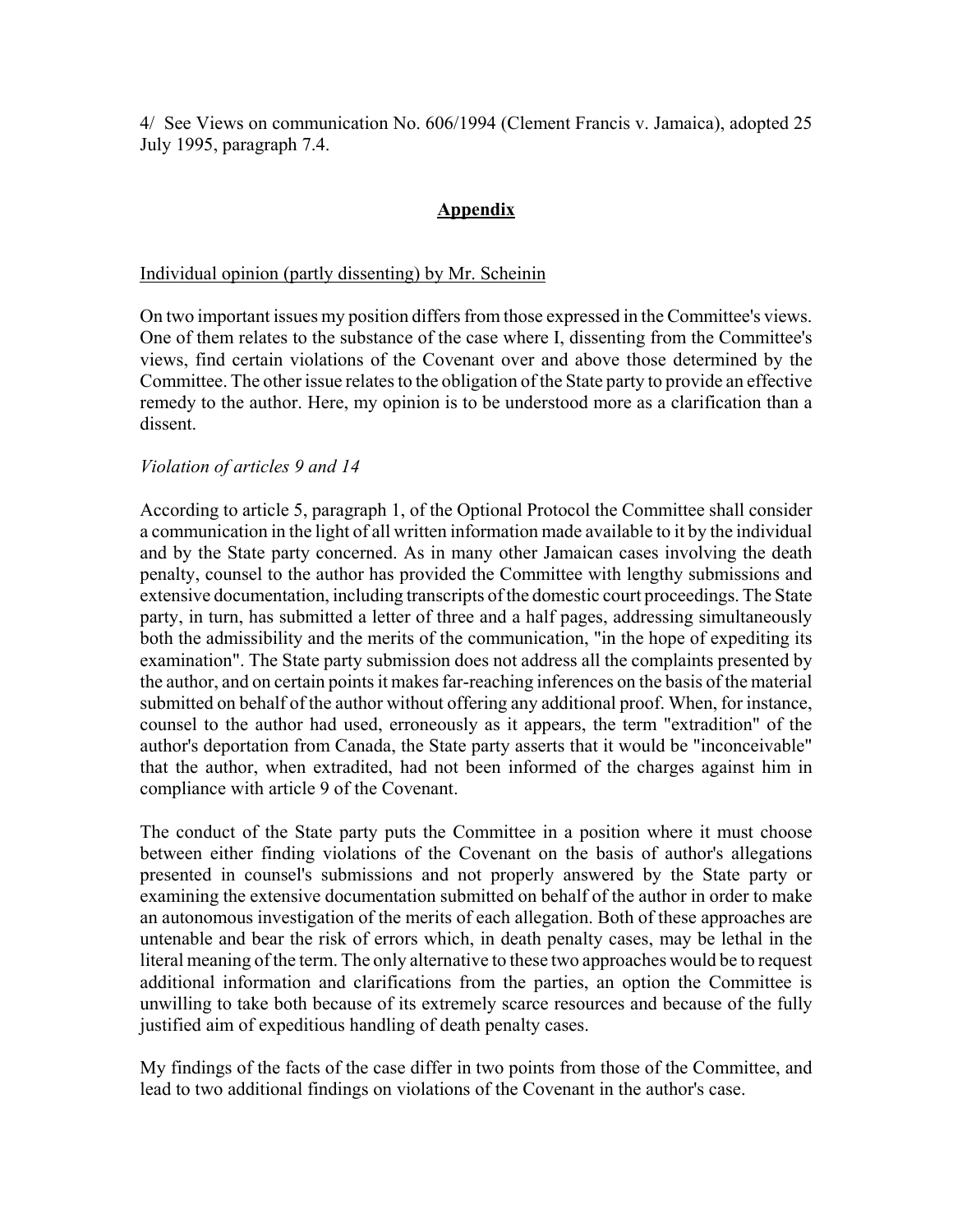4/ See Views on communication No. 606/1994 (Clement Francis v. Jamaica), adopted 25 July 1995, paragraph 7.4.

### **Appendix**

#### Individual opinion (partly dissenting) by Mr. Scheinin

On two important issues my position differs from those expressed in the Committee's views. One of them relates to the substance of the case where I, dissenting from the Committee's views, find certain violations of the Covenant over and above those determined by the Committee. The other issue relates to the obligation of the State party to provide an effective remedy to the author. Here, my opinion is to be understood more as a clarification than a dissent.

### *Violation of articles 9 and 14*

According to article 5, paragraph 1, of the Optional Protocol the Committee shall consider a communication in the light of all written information made available to it by the individual and by the State party concerned. As in many other Jamaican cases involving the death penalty, counsel to the author has provided the Committee with lengthy submissions and extensive documentation, including transcripts of the domestic court proceedings. The State party, in turn, has submitted a letter of three and a half pages, addressing simultaneously both the admissibility and the merits of the communication, "in the hope of expediting its examination". The State party submission does not address all the complaints presented by the author, and on certain points it makes far-reaching inferences on the basis of the material submitted on behalf of the author without offering any additional proof. When, for instance, counsel to the author had used, erroneously as it appears, the term "extradition" of the author's deportation from Canada, the State party asserts that it would be "inconceivable" that the author, when extradited, had not been informed of the charges against him in compliance with article 9 of the Covenant.

The conduct of the State party puts the Committee in a position where it must choose between either finding violations of the Covenant on the basis of author's allegations presented in counsel's submissions and not properly answered by the State party or examining the extensive documentation submitted on behalf of the author in order to make an autonomous investigation of the merits of each allegation. Both of these approaches are untenable and bear the risk of errors which, in death penalty cases, may be lethal in the literal meaning of the term. The only alternative to these two approaches would be to request additional information and clarifications from the parties, an option the Committee is unwilling to take both because of its extremely scarce resources and because of the fully justified aim of expeditious handling of death penalty cases.

My findings of the facts of the case differ in two points from those of the Committee, and lead to two additional findings on violations of the Covenant in the author's case.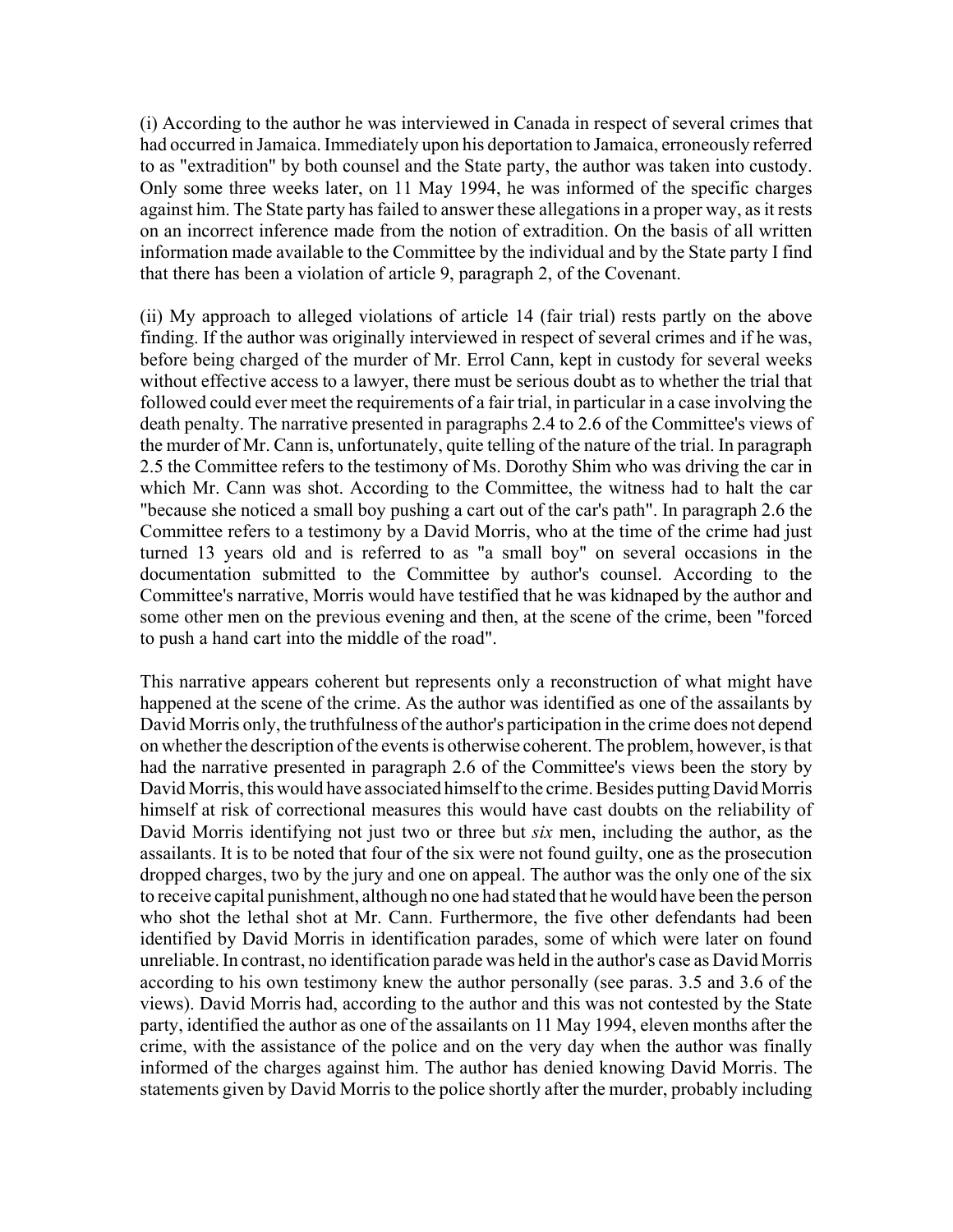(i) According to the author he was interviewed in Canada in respect of several crimes that had occurred in Jamaica. Immediately upon his deportation to Jamaica, erroneously referred to as "extradition" by both counsel and the State party, the author was taken into custody. Only some three weeks later, on 11 May 1994, he was informed of the specific charges against him. The State party has failed to answer these allegations in a proper way, as it rests on an incorrect inference made from the notion of extradition. On the basis of all written information made available to the Committee by the individual and by the State party I find that there has been a violation of article 9, paragraph 2, of the Covenant.

(ii) My approach to alleged violations of article 14 (fair trial) rests partly on the above finding. If the author was originally interviewed in respect of several crimes and if he was, before being charged of the murder of Mr. Errol Cann, kept in custody for several weeks without effective access to a lawyer, there must be serious doubt as to whether the trial that followed could ever meet the requirements of a fair trial, in particular in a case involving the death penalty. The narrative presented in paragraphs 2.4 to 2.6 of the Committee's views of the murder of Mr. Cann is, unfortunately, quite telling of the nature of the trial. In paragraph 2.5 the Committee refers to the testimony of Ms. Dorothy Shim who was driving the car in which Mr. Cann was shot. According to the Committee, the witness had to halt the car "because she noticed a small boy pushing a cart out of the car's path". In paragraph 2.6 the Committee refers to a testimony by a David Morris, who at the time of the crime had just turned 13 years old and is referred to as "a small boy" on several occasions in the documentation submitted to the Committee by author's counsel. According to the Committee's narrative, Morris would have testified that he was kidnaped by the author and some other men on the previous evening and then, at the scene of the crime, been "forced to push a hand cart into the middle of the road".

This narrative appears coherent but represents only a reconstruction of what might have happened at the scene of the crime. As the author was identified as one of the assailants by David Morris only, the truthfulness of the author's participation in the crime does not depend on whether the description of the events is otherwise coherent. The problem, however, is that had the narrative presented in paragraph 2.6 of the Committee's views been the story by David Morris, this would have associated himself to the crime. Besides putting David Morris himself at risk of correctional measures this would have cast doubts on the reliability of David Morris identifying not just two or three but *six* men, including the author, as the assailants. It is to be noted that four of the six were not found guilty, one as the prosecution dropped charges, two by the jury and one on appeal. The author was the only one of the six to receive capital punishment, although no one had stated that he would have been the person who shot the lethal shot at Mr. Cann. Furthermore, the five other defendants had been identified by David Morris in identification parades, some of which were later on found unreliable. In contrast, no identification parade was held in the author's case as David Morris according to his own testimony knew the author personally (see paras. 3.5 and 3.6 of the views). David Morris had, according to the author and this was not contested by the State party, identified the author as one of the assailants on 11 May 1994, eleven months after the crime, with the assistance of the police and on the very day when the author was finally informed of the charges against him. The author has denied knowing David Morris. The statements given by David Morris to the police shortly after the murder, probably including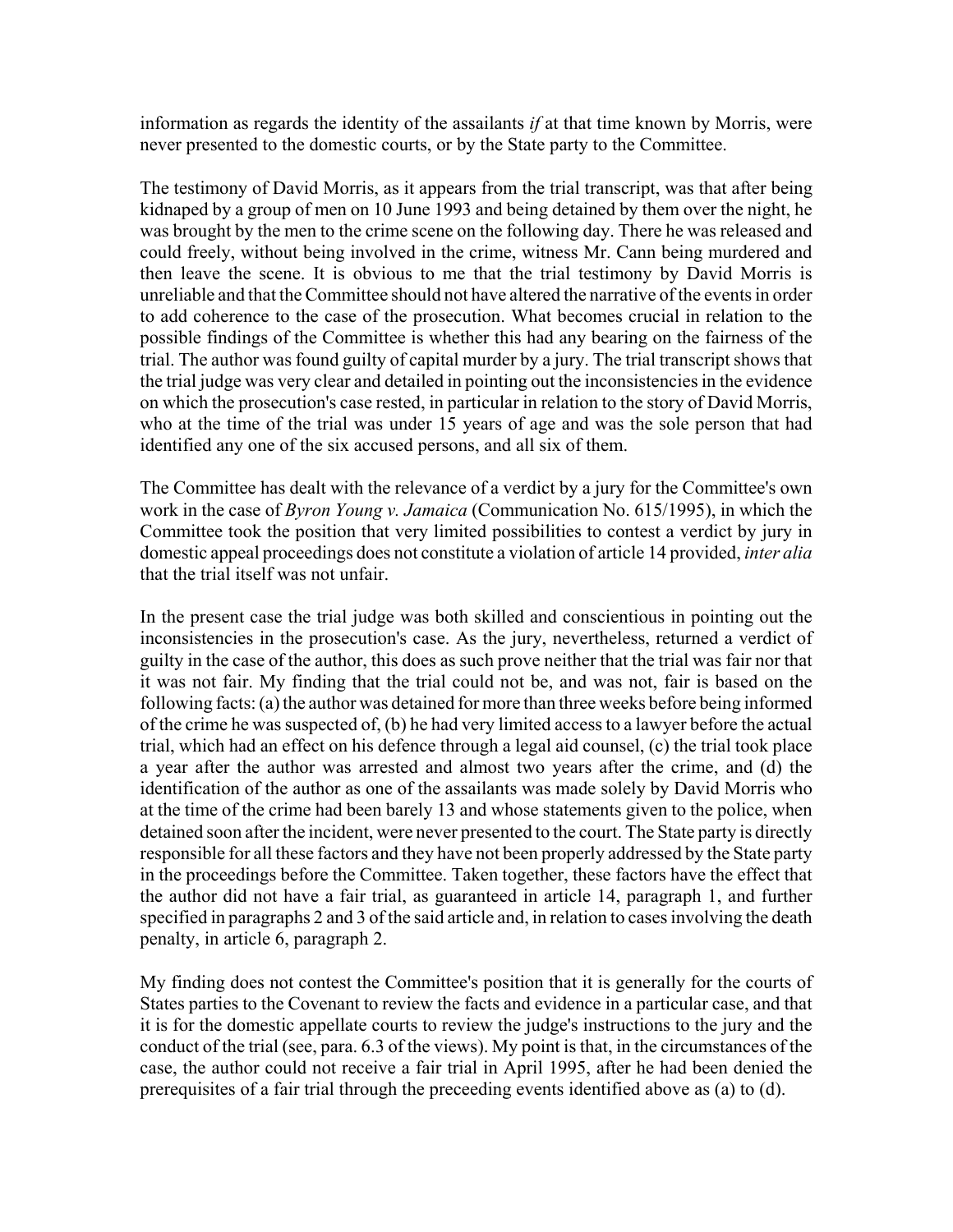information as regards the identity of the assailants *if* at that time known by Morris, were never presented to the domestic courts, or by the State party to the Committee.

The testimony of David Morris, as it appears from the trial transcript, was that after being kidnaped by a group of men on 10 June 1993 and being detained by them over the night, he was brought by the men to the crime scene on the following day. There he was released and could freely, without being involved in the crime, witness Mr. Cann being murdered and then leave the scene. It is obvious to me that the trial testimony by David Morris is unreliable and that the Committee should not have altered the narrative of the events in order to add coherence to the case of the prosecution. What becomes crucial in relation to the possible findings of the Committee is whether this had any bearing on the fairness of the trial. The author was found guilty of capital murder by a jury. The trial transcript shows that the trial judge was very clear and detailed in pointing out the inconsistencies in the evidence on which the prosecution's case rested, in particular in relation to the story of David Morris, who at the time of the trial was under 15 years of age and was the sole person that had identified any one of the six accused persons, and all six of them.

The Committee has dealt with the relevance of a verdict by a jury for the Committee's own work in the case of *Byron Young v. Jamaica* (Communication No. 615/1995), in which the Committee took the position that very limited possibilities to contest a verdict by jury in domestic appeal proceedings does not constitute a violation of article 14 provided, *inter alia* that the trial itself was not unfair.

In the present case the trial judge was both skilled and conscientious in pointing out the inconsistencies in the prosecution's case. As the jury, nevertheless, returned a verdict of guilty in the case of the author, this does as such prove neither that the trial was fair nor that it was not fair. My finding that the trial could not be, and was not, fair is based on the following facts: (a) the author was detained for more than three weeks before being informed of the crime he was suspected of, (b) he had very limited access to a lawyer before the actual trial, which had an effect on his defence through a legal aid counsel, (c) the trial took place a year after the author was arrested and almost two years after the crime, and (d) the identification of the author as one of the assailants was made solely by David Morris who at the time of the crime had been barely 13 and whose statements given to the police, when detained soon after the incident, were never presented to the court. The State party is directly responsible for all these factors and they have not been properly addressed by the State party in the proceedings before the Committee. Taken together, these factors have the effect that the author did not have a fair trial, as guaranteed in article 14, paragraph 1, and further specified in paragraphs 2 and 3 of the said article and, in relation to cases involving the death penalty, in article 6, paragraph 2.

My finding does not contest the Committee's position that it is generally for the courts of States parties to the Covenant to review the facts and evidence in a particular case, and that it is for the domestic appellate courts to review the judge's instructions to the jury and the conduct of the trial (see, para. 6.3 of the views). My point is that, in the circumstances of the case, the author could not receive a fair trial in April 1995, after he had been denied the prerequisites of a fair trial through the preceeding events identified above as (a) to (d).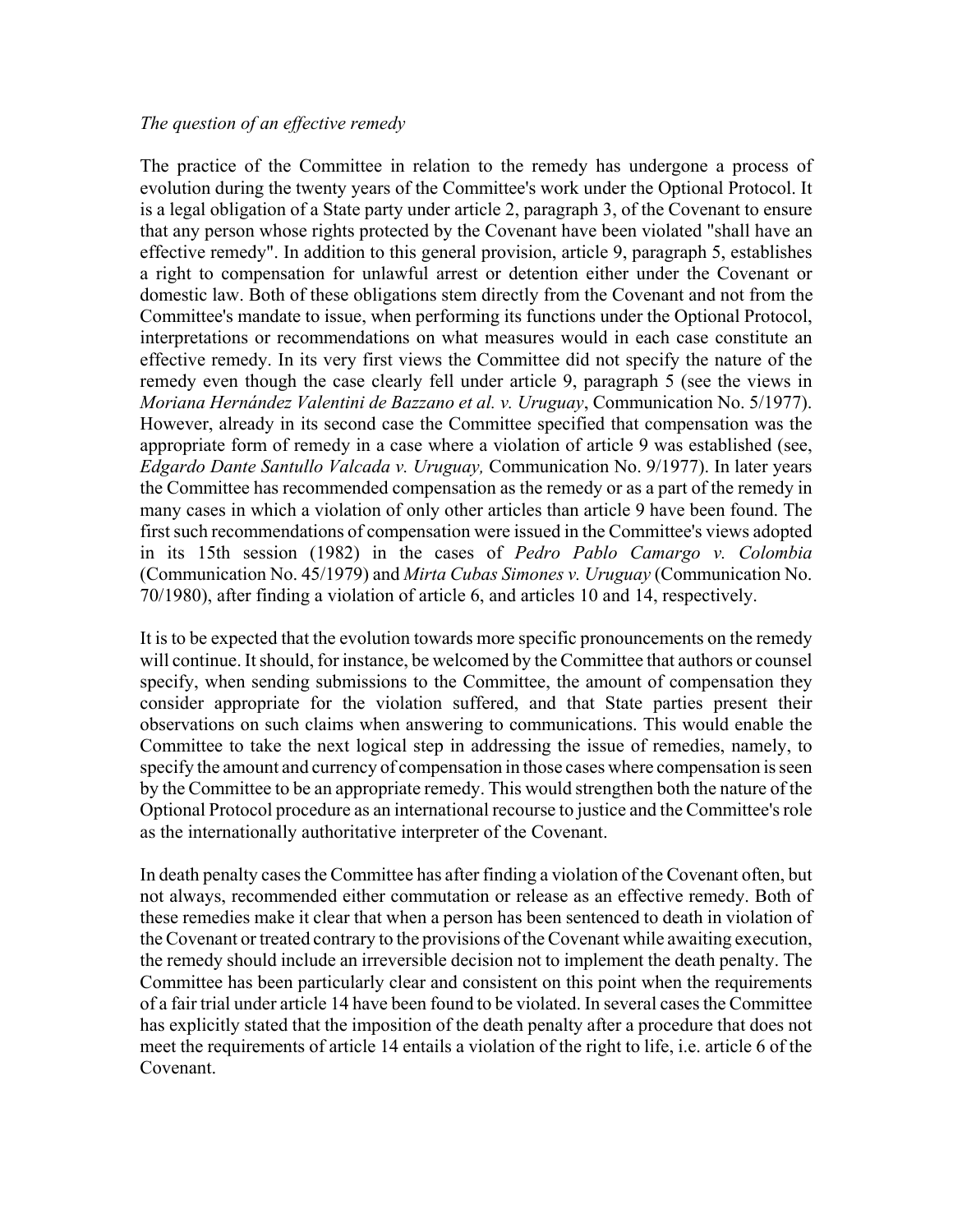#### *The question of an effective remedy*

The practice of the Committee in relation to the remedy has undergone a process of evolution during the twenty years of the Committee's work under the Optional Protocol. It is a legal obligation of a State party under article 2, paragraph 3, of the Covenant to ensure that any person whose rights protected by the Covenant have been violated "shall have an effective remedy". In addition to this general provision, article 9, paragraph 5, establishes a right to compensation for unlawful arrest or detention either under the Covenant or domestic law. Both of these obligations stem directly from the Covenant and not from the Committee's mandate to issue, when performing its functions under the Optional Protocol, interpretations or recommendations on what measures would in each case constitute an effective remedy. In its very first views the Committee did not specify the nature of the remedy even though the case clearly fell under article 9, paragraph 5 (see the views in *Moriana Hernández Valentini de Bazzano et al. v. Uruguay*, Communication No. 5/1977). However, already in its second case the Committee specified that compensation was the appropriate form of remedy in a case where a violation of article 9 was established (see, *Edgardo Dante Santullo Valcada v. Uruguay,* Communication No. 9/1977). In later years the Committee has recommended compensation as the remedy or as a part of the remedy in many cases in which a violation of only other articles than article 9 have been found. The first such recommendations of compensation were issued in the Committee's views adopted in its 15th session (1982) in the cases of *Pedro Pablo Camargo v. Colombia* (Communication No. 45/1979) and *Mirta Cubas Simones v. Uruguay* (Communication No. 70/1980), after finding a violation of article 6, and articles 10 and 14, respectively.

It is to be expected that the evolution towards more specific pronouncements on the remedy will continue. It should, for instance, be welcomed by the Committee that authors or counsel specify, when sending submissions to the Committee, the amount of compensation they consider appropriate for the violation suffered, and that State parties present their observations on such claims when answering to communications. This would enable the Committee to take the next logical step in addressing the issue of remedies, namely, to specify the amount and currency of compensation in those cases where compensation is seen by the Committee to be an appropriate remedy. This would strengthen both the nature of the Optional Protocol procedure as an international recourse to justice and the Committee's role as the internationally authoritative interpreter of the Covenant.

In death penalty cases the Committee has after finding a violation of the Covenant often, but not always, recommended either commutation or release as an effective remedy. Both of these remedies make it clear that when a person has been sentenced to death in violation of the Covenant or treated contrary to the provisions of the Covenant while awaiting execution, the remedy should include an irreversible decision not to implement the death penalty. The Committee has been particularly clear and consistent on this point when the requirements of a fair trial under article 14 have been found to be violated. In several cases the Committee has explicitly stated that the imposition of the death penalty after a procedure that does not meet the requirements of article 14 entails a violation of the right to life, i.e. article 6 of the Covenant.